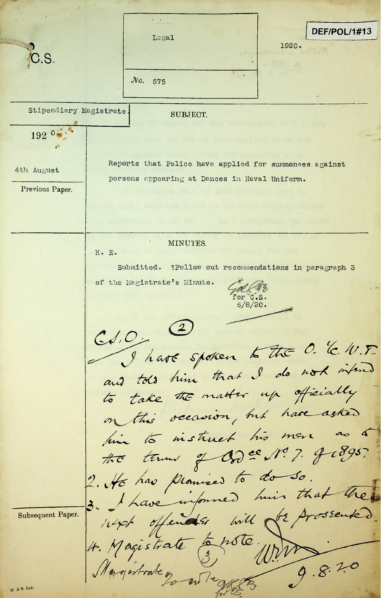DEF/POL/1#13 Legal 1920. C.S. *JVo.* 575 Stipendiary Magistrate SUBJECT. A 192 ° \* \* \* \* Reports that Police have applied for summonses against 4th August persons appearing at Dances in Naval Uniform. Previous Paper. MINUTES. H. E. Submitted. ?Follow out recommendations in paragraph 5 **jjl <sup>z</sup>** of the Magistrate's Minute.  $'or$   $\circ$ .s. 6/8/20.  $(2)$  $Cd.O.$ I have spoken to the O. C. W.F. and told him that I do not infind to take the matter up officially on this occasion, but have asked him to instruct his more the terms of dod es No. 7. J 1895. 2. He has promised to do so.<br>3. I have informed him that the hapt offends will de prossente Subsequent Paper. 4. Magistrate Enste 9.8.20 Magistrate p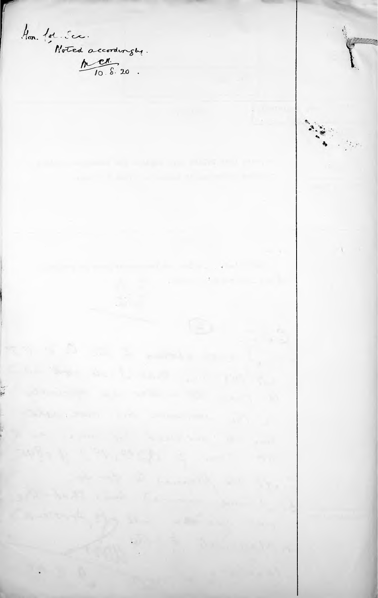Hon lot See<br>Noted accordengue Card Committee Committee